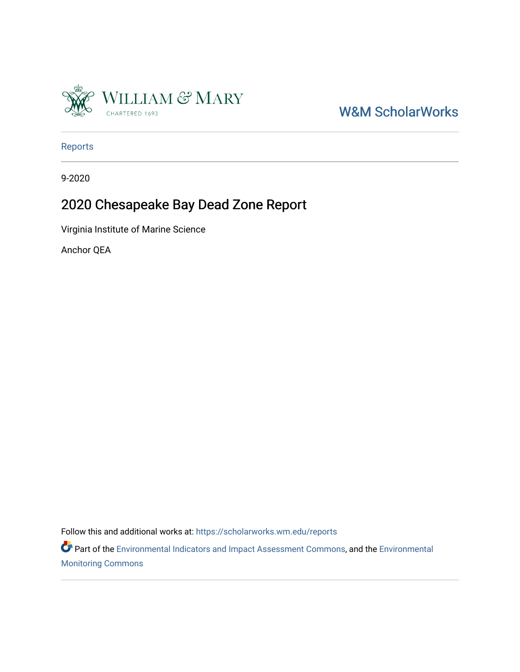

[W&M ScholarWorks](https://scholarworks.wm.edu/) 

[Reports](https://scholarworks.wm.edu/reports)

9-2020

# 2020 Chesapeake Bay Dead Zone Report

Virginia Institute of Marine Science

Anchor QEA

Follow this and additional works at: [https://scholarworks.wm.edu/reports](https://scholarworks.wm.edu/reports?utm_source=scholarworks.wm.edu%2Freports%2F2469&utm_medium=PDF&utm_campaign=PDFCoverPages)

Part of the [Environmental Indicators and Impact Assessment Commons,](http://network.bepress.com/hgg/discipline/1015?utm_source=scholarworks.wm.edu%2Freports%2F2469&utm_medium=PDF&utm_campaign=PDFCoverPages) and the [Environmental](http://network.bepress.com/hgg/discipline/931?utm_source=scholarworks.wm.edu%2Freports%2F2469&utm_medium=PDF&utm_campaign=PDFCoverPages) [Monitoring Commons](http://network.bepress.com/hgg/discipline/931?utm_source=scholarworks.wm.edu%2Freports%2F2469&utm_medium=PDF&utm_campaign=PDFCoverPages)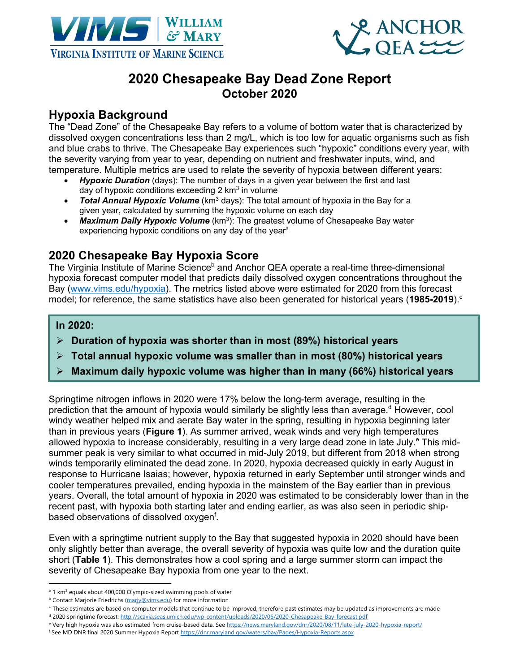



## **2020 Chesapeake Bay Dead Zone Report October 2020**

### **Hypoxia Background**

The "Dead Zone" of the Chesapeake Bay refers to a volume of bottom water that is characterized by dissolved oxygen concentrations less than 2 mg/L, which is too low for aquatic organisms such as fish and blue crabs to thrive. The Chesapeake Bay experiences such "hypoxic" conditions every year, with the severity varying from year to year, depending on nutrient and freshwater inputs, wind, and temperature. Multiple metrics are used to relate the severity of hypoxia between different years:

- *Hypoxic Duration* (days): The number of days in a given year between the first and last day of hypoxic conditions exceeding  $2 \text{ km}^3$  in volume
- *Total Annual Hypoxic Volume* (km<sup>3</sup> days): The total amount of hypoxia in the Bay for a given year, calculated by summing the hypoxic volume on each day
- *Maximum Daily Hypoxic Volume* (km<sup>3</sup>): The greatest volume of Chesapeake Bay water experiencing hypoxic conditions on any day of the year<sup>a</sup>

#### **2020 Chesapeake Bay Hypoxia Score**

The Virginia Institute of Marine Science<sup>b</sup> and Anchor QEA operate a real-time three-dimensional hypoxia forecast computer model that predicts daily dissolved oxygen concentrations throughout the Bay (www.vims.edu/hypoxia). The metrics listed above were estimated for 2020 from this forecast model; for reference, the same statistics have also been generated for historical years (1985-2019).<sup>c</sup>

#### $In 2020:$

- $\triangleright$  Duration of hypoxia was shorter than in most (89%) historical years
- $\triangleright$  Total annual hypoxic volume was smaller than in most (80%) historical years
- $\triangleright$  Maximum daily hypoxic volume was higher than in many (66%) historical years

Springtime nitrogen inflows in 2020 were 17% below the long-term average, resulting in the prediction that the amount of hypoxia would similarly be slightly less than average.<sup>d</sup> However, cool windy weather helped mix and aerate Bay water in the spring, resulting in hypoxia beginning later than in previous years (**Figure 1**). As summer arrived, weak winds and very high temperatures allowed hypoxia to increase considerably, resulting in a very large dead zone in late July.<sup>e</sup> This midsummer peak is very similar to what occurred in mid-July 2019, but different from 2018 when strong winds temporarily eliminated the dead zone. In 2020, hypoxia decreased quickly in early August in response to Hurricane Isaias; however, hypoxia returned in early September until stronger winds and cooler temperatures prevailed, ending hypoxia in the mainstem of the Bay earlier than in previous years. Overall, the total amount of hypoxia in 2020 was estimated to be considerably lower than in the recent past, with hypoxia both starting later and ending earlier, as was also seen in periodic shipbased observations of dissolved oxygen<sup>f</sup>.

Even with a springtime nutrient supply to the Bay that suggested hypoxia in 2020 should have been only slightly better than average, the overall severity of hypoxia was quite low and the duration quite short (**Table 1**). This demonstrates how a cool spring and a large summer storm can impact the severity of Chesapeake Bay hypoxia from one year to the next.

- <sup>d</sup> 2020 springtime forecast: http://scavia.seas.umich.edu/wp-content/uploads/2020/06/2020-Chesapeake-Bay-forecast.pdf
- e Very high hypoxia was also estimated from cruise-based data. See https://news.maryland.gov/dnr/2020/08/11/late-july-2020-hypoxia-report/
- <sup>f</sup> See MD DNR final 2020 Summer Hypoxia Report https://dnr.maryland.gov/waters/bay/Pages/Hypoxia-Reports.aspx

<sup>&</sup>lt;sup>a</sup> 1 km<sup>3</sup> equals about 400,000 Olympic-sized swimming pools of water

**b Contact Marjorie Friedrichs (marjy@vims.edu)** for more information

<sup>&</sup>lt;sup>c</sup> These estimates are based on computer models that continue to be improved; therefore past estimates may be updated as improvements are made